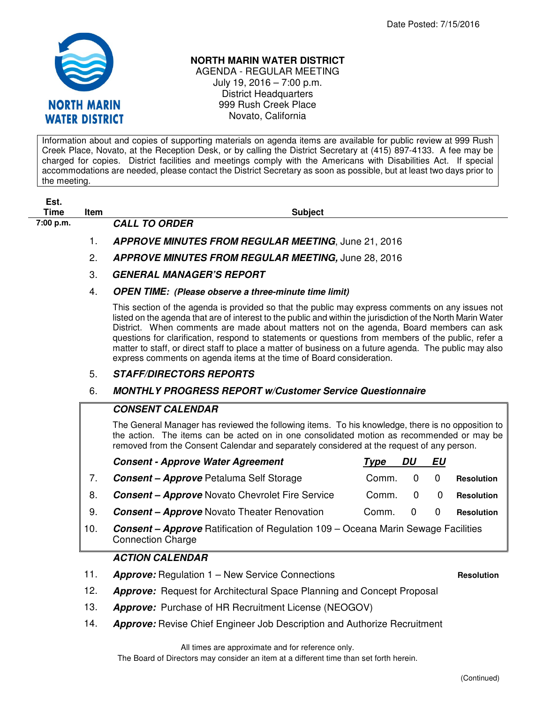

## **NORTH MARIN WATER DISTRICT**

AGENDA - REGULAR MEETING July 19, 2016 – 7:00 p.m. District Headquarters 999 Rush Creek Place Novato, California

Information about and copies of supporting materials on agenda items are available for public review at 999 Rush Creek Place, Novato, at the Reception Desk, or by calling the District Secretary at (415) 897-4133. A fee may be charged for copies. District facilities and meetings comply with the Americans with Disabilities Act. If special accommodations are needed, please contact the District Secretary as soon as possible, but at least two days prior to the meeting.

| Est. |    |
|------|----|
| Time | It |
|      |    |

**7:00 p.m. CALL TO ORDER** 

**Time Item Subject** 

- 
- 1. **APPROVE MINUTES FROM REGULAR MEETING**, June 21, 2016
- 2. **APPROVE MINUTES FROM REGULAR MEETING,** June 28, 2016
- 3. **GENERAL MANAGER'S REPORT**
- 4. **OPEN TIME: (Please observe a three-minute time limit)**

This section of the agenda is provided so that the public may express comments on any issues not listed on the agenda that are of interest to the public and within the jurisdiction of the North Marin Water District. When comments are made about matters not on the agenda, Board members can ask questions for clarification, respond to statements or questions from members of the public, refer a matter to staff, or direct staff to place a matter of business on a future agenda. The public may also express comments on agenda items at the time of Board consideration.

# 5. **STAFF/DIRECTORS REPORTS**

# 6. **MONTHLY PROGRESS REPORT w/Customer Service Questionnaire**

# **CONSENT CALENDAR**

The General Manager has reviewed the following items. To his knowledge, there is no opposition to the action. The items can be acted on in one consolidated motion as recommended or may be removed from the Consent Calendar and separately considered at the request of any person.

|     | <b>Consent - Approve Water Agreement</b>                                                                             | Tvpe  | DU | EU       |                   |
|-----|----------------------------------------------------------------------------------------------------------------------|-------|----|----------|-------------------|
|     | <b>Consent - Approve Petaluma Self Storage</b>                                                                       | Comm. | 0  |          | <b>Resolution</b> |
| 8.  | <b>Consent - Approve Novato Chevrolet Fire Service</b>                                                               | Comm. | 0  | $\Omega$ | <b>Resolution</b> |
| 9.  | <b>Consent - Approve</b> Novato Theater Renovation                                                                   | Comm. | 0  | 0        | <b>Resolution</b> |
| 10. | <b>Consent - Approve</b> Ratification of Regulation 109 - Oceana Marin Sewage Facilities<br><b>Connection Charge</b> |       |    |          |                   |

# **ACTION CALENDAR**

11. **Approve:** Regulation 1 – New Service Connections **Resolution**

- 12. **Approve:** Request for Architectural Space Planning and Concept Proposal
- 13. **Approve:** Purchase of HR Recruitment License (NEOGOV)
- 14. **Approve:** Revise Chief Engineer Job Description and Authorize Recruitment

All times are approximate and for reference only.

The Board of Directors may consider an item at a different time than set forth herein.